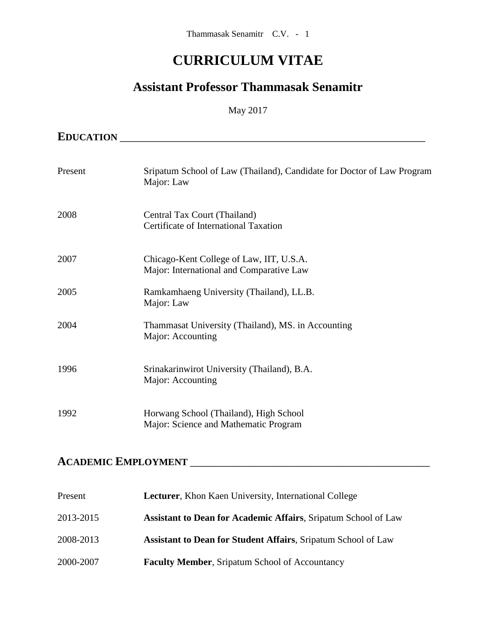# **CURRICULUM VITAE**

# **Assistant Professor Thammasak Senamitr**

#### May 2017

| <b>EDUCATION</b> |                                                                                      |
|------------------|--------------------------------------------------------------------------------------|
| Present          | Sripatum School of Law (Thailand), Candidate for Doctor of Law Program<br>Major: Law |
| 2008             | Central Tax Court (Thailand)<br>Certificate of International Taxation                |
| 2007             | Chicago-Kent College of Law, IIT, U.S.A.<br>Major: International and Comparative Law |
| 2005             | Ramkamhaeng University (Thailand), LL.B.<br>Major: Law                               |
| 2004             | Thammasat University (Thailand), MS. in Accounting<br>Major: Accounting              |
| 1996             | Srinakarinwirot University (Thailand), B.A.<br>Major: Accounting                     |
| 1992             | Horwang School (Thailand), High School<br>Major: Science and Mathematic Program      |

# **ACADEMIC EMPLOYMENT** \_\_\_\_\_\_\_\_\_\_\_\_\_\_\_\_\_\_\_\_\_\_\_\_\_\_\_\_\_\_\_\_\_\_\_\_\_\_\_\_

| Present   | <b>Lecturer, Khon Kaen University, International College</b>          |
|-----------|-----------------------------------------------------------------------|
| 2013-2015 | <b>Assistant to Dean for Academic Affairs, Sripatum School of Law</b> |
| 2008-2013 | <b>Assistant to Dean for Student Affairs, Sripatum School of Law</b>  |
| 2000-2007 | <b>Faculty Member, Sripatum School of Accountancy</b>                 |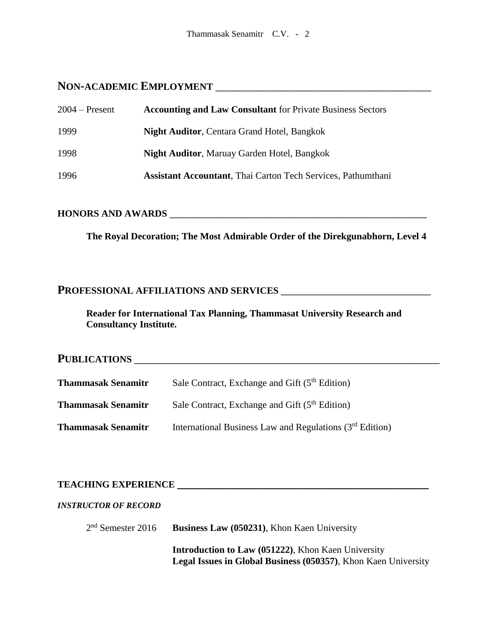# **NON-ACADEMIC EMPLOYMENT** \_\_\_\_\_\_\_\_\_\_\_\_\_\_\_\_\_\_\_\_\_\_\_\_\_\_\_\_\_\_\_\_\_\_\_\_

| $2004 -$ Present | <b>Accounting and Law Consultant</b> for Private Business Sectors    |
|------------------|----------------------------------------------------------------------|
| 1999             | <b>Night Auditor, Centara Grand Hotel, Bangkok</b>                   |
| 1998             | <b>Night Auditor, Maruay Garden Hotel, Bangkok</b>                   |
| 1996             | <b>Assistant Accountant</b> , Thai Carton Tech Services, Pathumthani |

# **HONORS AND AWARDS** \_\_\_\_\_\_\_\_\_\_\_\_\_\_\_\_\_\_\_\_\_\_\_\_\_\_\_\_\_\_\_\_\_\_\_\_\_\_\_\_\_\_\_

**The Royal Decoration; The Most Admirable Order of the Direkgunabhorn, Level 4**

#### **PROFESSIONAL AFFILIATIONS AND SERVICES** \_\_\_\_\_\_\_\_\_\_\_\_\_\_\_\_\_\_\_\_\_\_\_\_\_

**Reader for International Tax Planning, Thammasat University Research and Consultancy Institute.**

# **PUBLICATIONS** \_\_\_\_\_\_\_\_\_\_\_\_\_\_\_\_\_\_\_\_\_\_\_\_\_\_\_\_\_\_\_\_\_\_\_\_\_\_\_\_\_\_\_\_\_\_\_\_\_\_\_ **Thammasak Senamitr** Sale Contract, Exchange and Gift (5<sup>th</sup> Edition) **Thammasak Senamitr** Sale Contract, Exchange and Gift (5<sup>th</sup> Edition) **Thammasak Senamitr** International Business Law and Regulations (3<sup>rd</sup> Edition)

## **TEACHING EXPERIENCE \_\_\_\_\_\_\_\_\_\_\_\_\_\_\_\_\_\_\_\_\_\_\_\_\_\_\_\_\_\_\_\_\_\_\_\_\_\_\_\_\_\_**

#### *INSTRUCTOR OF RECORD*

 $2<sup>nd</sup>$  Semester 2016 **Business Law (050231), Khon Kaen University** 

> **Introduction to Law (051222)**, Khon Kaen University **Legal Issues in Global Business (050357)**, Khon Kaen University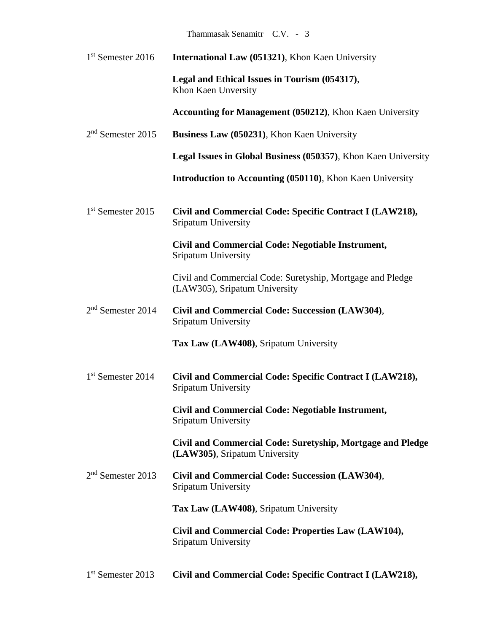# Thammasak Senamitr C.V. - 3

| $1st$ Semester 2016           | <b>International Law (051321), Khon Kaen University</b>                                     |
|-------------------------------|---------------------------------------------------------------------------------------------|
|                               | Legal and Ethical Issues in Tourism (054317),<br>Khon Kaen Unversity                        |
|                               | Accounting for Management (050212), Khon Kaen University                                    |
| $2nd$ Semester 2015           | Business Law (050231), Khon Kaen University                                                 |
|                               | Legal Issues in Global Business (050357), Khon Kaen University                              |
|                               | <b>Introduction to Accounting (050110), Khon Kaen University</b>                            |
| 1 <sup>st</sup> Semester 2015 | Civil and Commercial Code: Specific Contract I (LAW218),<br>Sripatum University             |
|                               | Civil and Commercial Code: Negotiable Instrument,<br>Sripatum University                    |
|                               | Civil and Commercial Code: Suretyship, Mortgage and Pledge<br>(LAW305), Sripatum University |
| $2nd$ Semester 2014           | Civil and Commercial Code: Succession (LAW304),<br>Sripatum University                      |
|                               | Tax Law (LAW408), Sripatum University                                                       |
| 1 <sup>st</sup> Semester 2014 | Civil and Commercial Code: Specific Contract I (LAW218),<br>Sripatum University             |
|                               | Civil and Commercial Code: Negotiable Instrument,<br>Sripatum University                    |
|                               | Civil and Commercial Code: Suretyship, Mortgage and Pledge<br>(LAW305), Sripatum University |
| $2nd$ Semester 2013           | Civil and Commercial Code: Succession (LAW304),<br>Sripatum University                      |
|                               | Tax Law (LAW408), Sripatum University                                                       |
|                               | Civil and Commercial Code: Properties Law (LAW104),<br>Sripatum University                  |
|                               |                                                                                             |

1 st Semester 2013 **Civil and Commercial Code: Specific Contract I (LAW218),**